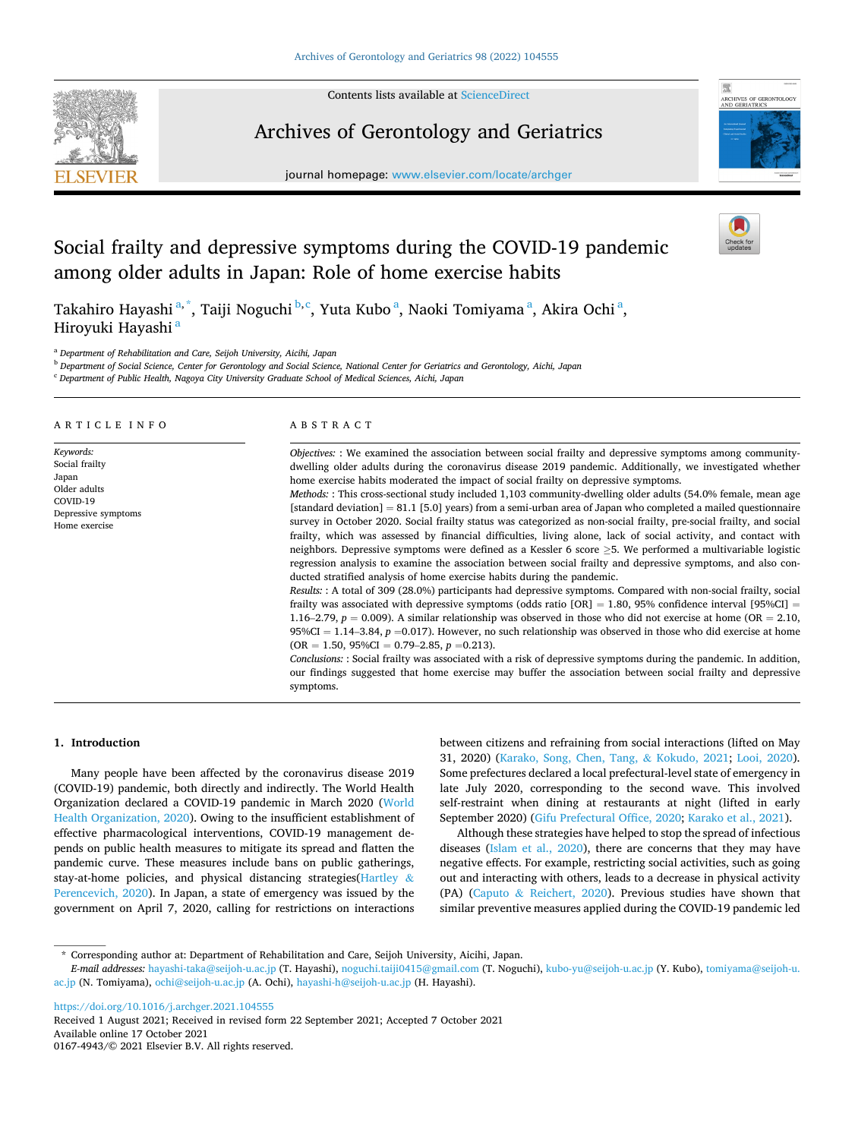Contents lists available at [ScienceDirect](www.sciencedirect.com/science/journal/01674943)



Archives of Gerontology and Geriatrics





# Social frailty and depressive symptoms during the COVID-19 pandemic among older adults in Japan: Role of home exercise habits

Takahiro Hayashi <sup>a, \*</sup>, Taiji Noguchi <sup>b,c</sup>, Yuta Kubo <sup>a</sup>, Naoki Tomiyama <sup>a</sup>, Akira Ochi <sup>a</sup>, Hiroyuki Hayashi<sup>a</sup>

<sup>a</sup> *Department of Rehabilitation and Care, Seijoh University, Aicihi, Japan* 

<sup>b</sup> *Department of Social Science, Center for Gerontology and Social Science, National Center for Geriatrics and Gerontology, Aichi, Japan* 

<sup>c</sup> *Department of Public Health, Nagoya City University Graduate School of Medical Sciences, Aichi, Japan* 

| ARTICLE INFO                                                                                             | ABSTRACT                                                                                                                                                                                                                                                                                                                                                                                                                                                                                                                                                                                                                                                                                                                                                                                                                                                                                                                                                                                                                                                                                                                                                                                                                                                                                                                                                                                                                                                                                                                                                                                                                                                                                                                                                                                                                                                                                 |  |  |  |
|----------------------------------------------------------------------------------------------------------|------------------------------------------------------------------------------------------------------------------------------------------------------------------------------------------------------------------------------------------------------------------------------------------------------------------------------------------------------------------------------------------------------------------------------------------------------------------------------------------------------------------------------------------------------------------------------------------------------------------------------------------------------------------------------------------------------------------------------------------------------------------------------------------------------------------------------------------------------------------------------------------------------------------------------------------------------------------------------------------------------------------------------------------------------------------------------------------------------------------------------------------------------------------------------------------------------------------------------------------------------------------------------------------------------------------------------------------------------------------------------------------------------------------------------------------------------------------------------------------------------------------------------------------------------------------------------------------------------------------------------------------------------------------------------------------------------------------------------------------------------------------------------------------------------------------------------------------------------------------------------------------|--|--|--|
| Keywords:<br>Social frailty<br>Japan<br>Older adults<br>COVID-19<br>Depressive symptoms<br>Home exercise | Objectives: : We examined the association between social frailty and depressive symptoms among community-<br>dwelling older adults during the coronavirus disease 2019 pandemic. Additionally, we investigated whether<br>home exercise habits moderated the impact of social frailty on depressive symptoms.<br>Methods: : This cross-sectional study included 1,103 community-dwelling older adults (54.0% female, mean age<br>[standard deviation] $= 81.1$ [5.0] years) from a semi-urban area of Japan who completed a mailed questionnaire<br>survey in October 2020. Social frailty status was categorized as non-social frailty, pre-social frailty, and social<br>frailty, which was assessed by financial difficulties, living alone, lack of social activity, and contact with<br>neighbors. Depressive symptoms were defined as a Kessler 6 score $\geq$ 5. We performed a multivariable logistic<br>regression analysis to examine the association between social frailty and depressive symptoms, and also con-<br>ducted stratified analysis of home exercise habits during the pandemic.<br>Results: : A total of 309 (28.0%) participants had depressive symptoms. Compared with non-social frailty, social<br>frailty was associated with depressive symptoms (odds ratio $[OR] = 1.80$ , 95% confidence interval $[95\%CI] =$<br>1.16–2.79, $p = 0.009$ ). A similar relationship was observed in those who did not exercise at home (OR = 2.10,<br>$95\%CI = 1.14-3.84$ , $p = 0.017$ . However, no such relationship was observed in those who did exercise at home<br>$OR = 1.50$ , 95%CI = 0.79–2.85, p = 0.213).<br>Conclusions: : Social frailty was associated with a risk of depressive symptoms during the pandemic. In addition,<br>our findings suggested that home exercise may buffer the association between social frailty and depressive<br>symptoms. |  |  |  |

# **1. Introduction**

Many people have been affected by the coronavirus disease 2019 (COVID-19) pandemic, both directly and indirectly. The World Health Organization declared a COVID-19 pandemic in March 2020 ([World](#page-5-0)  [Health Organization, 2020](#page-5-0)). Owing to the insufficient establishment of effective pharmacological interventions, COVID-19 management depends on public health measures to mitigate its spread and flatten the pandemic curve. These measures include bans on public gatherings, stay-at-home policies, and physical distancing strategies[\(Hartley](#page-4-0) & [Perencevich, 2020](#page-4-0)). In Japan, a state of emergency was issued by the government on April 7, 2020, calling for restrictions on interactions between citizens and refraining from social interactions (lifted on May 31, 2020) [\(Karako, Song, Chen, Tang,](#page-4-0) & Kokudo, 2021; [Looi, 2020](#page-5-0)). Some prefectures declared a local prefectural-level state of emergency in late July 2020, corresponding to the second wave. This involved self-restraint when dining at restaurants at night (lifted in early September 2020) ([Gifu Prefectural Office, 2020; Karako et al., 2021\)](#page-4-0).

Although these strategies have helped to stop the spread of infectious diseases [\(Islam et al., 2020](#page-4-0)), there are concerns that they may have negative effects. For example, restricting social activities, such as going out and interacting with others, leads to a decrease in physical activity (PA) (Caputo & [Reichert, 2020](#page-4-0)). Previous studies have shown that similar preventive measures applied during the COVID-19 pandemic led

<https://doi.org/10.1016/j.archger.2021.104555>

Available online 17 October 2021 0167-4943/© 2021 Elsevier B.V. All rights reserved. Received 1 August 2021; Received in revised form 22 September 2021; Accepted 7 October 2021

<sup>\*</sup> Corresponding author at: Department of Rehabilitation and Care, Seijoh University, Aicihi, Japan.

*E-mail addresses:* [hayashi-taka@seijoh-u.ac.jp](mailto:hayashi-taka@seijoh-u.ac.jp) (T. Hayashi), [noguchi.taiji0415@gmail.com](mailto:noguchi.taiji0415@gmail.com) (T. Noguchi), [kubo-yu@seijoh-u.ac.jp](mailto:kubo-yu@seijoh-u.ac.jp) (Y. Kubo), [tomiyama@seijoh-u.](mailto:tomiyama@seijoh-u.ac.jp)  [ac.jp](mailto:tomiyama@seijoh-u.ac.jp) (N. Tomiyama), [ochi@seijoh-u.ac.jp](mailto:ochi@seijoh-u.ac.jp) (A. Ochi), [hayashi-h@seijoh-u.ac.jp](mailto:hayashi-h@seijoh-u.ac.jp) (H. Hayashi).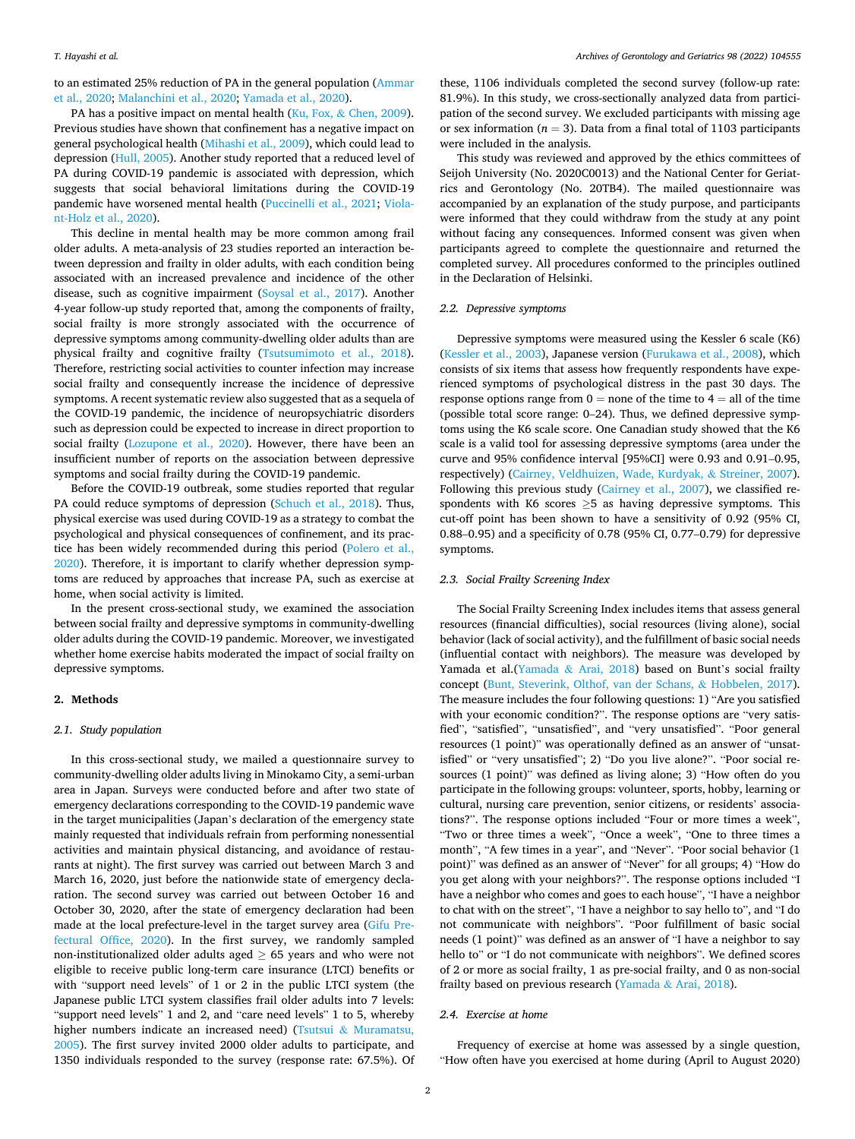to an estimated 25% reduction of PA in the general population ([Ammar](#page-4-0)  [et al., 2020;](#page-4-0) [Malanchini et al., 2020; Yamada et al., 2020](#page-5-0)).

PA has a positive impact on mental health (Ku, Fox, & [Chen, 2009](#page-5-0)). Previous studies have shown that confinement has a negative impact on general psychological health ([Mihashi et al., 2009\)](#page-5-0), which could lead to depression [\(Hull, 2005\)](#page-4-0). Another study reported that a reduced level of PA during COVID-19 pandemic is associated with depression, which suggests that social behavioral limitations during the COVID-19 pandemic have worsened mental health ([Puccinelli et al., 2021;](#page-5-0) [Viola](#page-5-0)[nt-Holz et al., 2020](#page-5-0)).

This decline in mental health may be more common among frail older adults. A meta-analysis of 23 studies reported an interaction between depression and frailty in older adults, with each condition being associated with an increased prevalence and incidence of the other disease, such as cognitive impairment ([Soysal et al., 2017](#page-5-0)). Another 4-year follow-up study reported that, among the components of frailty, social frailty is more strongly associated with the occurrence of depressive symptoms among community-dwelling older adults than are physical frailty and cognitive frailty ([Tsutsumimoto et al., 2018](#page-5-0)). Therefore, restricting social activities to counter infection may increase social frailty and consequently increase the incidence of depressive symptoms. A recent systematic review also suggested that as a sequela of the COVID-19 pandemic, the incidence of neuropsychiatric disorders such as depression could be expected to increase in direct proportion to social frailty ([Lozupone et al., 2020](#page-5-0)). However, there have been an insufficient number of reports on the association between depressive symptoms and social frailty during the COVID-19 pandemic.

Before the COVID-19 outbreak, some studies reported that regular PA could reduce symptoms of depression ([Schuch et al., 2018](#page-5-0)). Thus, physical exercise was used during COVID-19 as a strategy to combat the psychological and physical consequences of confinement, and its practice has been widely recommended during this period ([Polero et al.,](#page-5-0)  [2020\)](#page-5-0). Therefore, it is important to clarify whether depression symptoms are reduced by approaches that increase PA, such as exercise at home, when social activity is limited.

In the present cross-sectional study, we examined the association between social frailty and depressive symptoms in community-dwelling older adults during the COVID-19 pandemic. Moreover, we investigated whether home exercise habits moderated the impact of social frailty on depressive symptoms.

# **2. Methods**

## *2.1. Study population*

In this cross-sectional study, we mailed a questionnaire survey to community-dwelling older adults living in Minokamo City, a semi-urban area in Japan. Surveys were conducted before and after two state of emergency declarations corresponding to the COVID-19 pandemic wave in the target municipalities (Japan's declaration of the emergency state mainly requested that individuals refrain from performing nonessential activities and maintain physical distancing, and avoidance of restaurants at night). The first survey was carried out between March 3 and March 16, 2020, just before the nationwide state of emergency declaration. The second survey was carried out between October 16 and October 30, 2020, after the state of emergency declaration had been made at the local prefecture-level in the target survey area [\(Gifu Pre](#page-4-0)[fectural Office, 2020](#page-4-0)). In the first survey, we randomly sampled non-institutionalized older adults aged  $\geq$  65 years and who were not eligible to receive public long-term care insurance (LTCI) benefits or with "support need levels" of 1 or 2 in the public LTCI system (the Japanese public LTCI system classifies frail older adults into 7 levels: "support need levels" 1 and 2, and "care need levels" 1 to 5, whereby higher numbers indicate an increased need) (Tsutsui & Muramatsu, [2005\)](#page-5-0). The first survey invited 2000 older adults to participate, and 1350 individuals responded to the survey (response rate: 67.5%). Of

these, 1106 individuals completed the second survey (follow-up rate: 81.9%). In this study, we cross-sectionally analyzed data from participation of the second survey. We excluded participants with missing age or sex information ( $n = 3$ ). Data from a final total of 1103 participants were included in the analysis.

This study was reviewed and approved by the ethics committees of Seijoh University (No. 2020C0013) and the National Center for Geriatrics and Gerontology (No. 20TB4). The mailed questionnaire was accompanied by an explanation of the study purpose, and participants were informed that they could withdraw from the study at any point without facing any consequences. Informed consent was given when participants agreed to complete the questionnaire and returned the completed survey. All procedures conformed to the principles outlined in the Declaration of Helsinki.

## *2.2. Depressive symptoms*

Depressive symptoms were measured using the Kessler 6 scale (K6) ([Kessler et al., 2003](#page-4-0)), Japanese version [\(Furukawa et al., 2008](#page-4-0)), which consists of six items that assess how frequently respondents have experienced symptoms of psychological distress in the past 30 days. The response options range from  $0 =$  none of the time to  $4 =$  all of the time (possible total score range: 0–24). Thus, we defined depressive symptoms using the K6 scale score. One Canadian study showed that the K6 scale is a valid tool for assessing depressive symptoms (area under the curve and 95% confidence interval [95%CI] were 0.93 and 0.91–0.95, respectively) [\(Cairney, Veldhuizen, Wade, Kurdyak,](#page-4-0) & Streiner, 2007). Following this previous study [\(Cairney et al., 2007](#page-4-0)), we classified respondents with K6 scores  $\geq$ 5 as having depressive symptoms. This cut-off point has been shown to have a sensitivity of 0.92 (95% CI, 0.88–0.95) and a specificity of 0.78 (95% CI, 0.77–0.79) for depressive symptoms.

## *2.3. Social Frailty Screening Index*

The Social Frailty Screening Index includes items that assess general resources (financial difficulties), social resources (living alone), social behavior (lack of social activity), and the fulfillment of basic social needs (influential contact with neighbors). The measure was developed by Yamada et al.(Yamada & [Arai, 2018](#page-5-0)) based on Bunt's social frailty concept ([Bunt, Steverink, Olthof, van der Schans,](#page-4-0) & Hobbelen, 2017). The measure includes the four following questions: 1) "Are you satisfied with your economic condition?". The response options are "very satisfied", "satisfied", "unsatisfied", and "very unsatisfied". "Poor general resources (1 point)" was operationally defined as an answer of "unsatisfied" or "very unsatisfied"; 2) "Do you live alone?". "Poor social resources (1 point)" was defined as living alone; 3) "How often do you participate in the following groups: volunteer, sports, hobby, learning or cultural, nursing care prevention, senior citizens, or residents' associations?". The response options included "Four or more times a week", "Two or three times a week", "Once a week", "One to three times a month", "A few times in a year", and "Never". "Poor social behavior (1 point)" was defined as an answer of "Never" for all groups; 4) "How do you get along with your neighbors?". The response options included "I have a neighbor who comes and goes to each house", "I have a neighbor to chat with on the street", "I have a neighbor to say hello to", and "I do not communicate with neighbors". "Poor fulfillment of basic social needs (1 point)" was defined as an answer of "I have a neighbor to say hello to" or "I do not communicate with neighbors". We defined scores of 2 or more as social frailty, 1 as pre-social frailty, and 0 as non-social frailty based on previous research (Yamada & [Arai, 2018\)](#page-5-0).

# *2.4. Exercise at home*

Frequency of exercise at home was assessed by a single question, "How often have you exercised at home during (April to August 2020)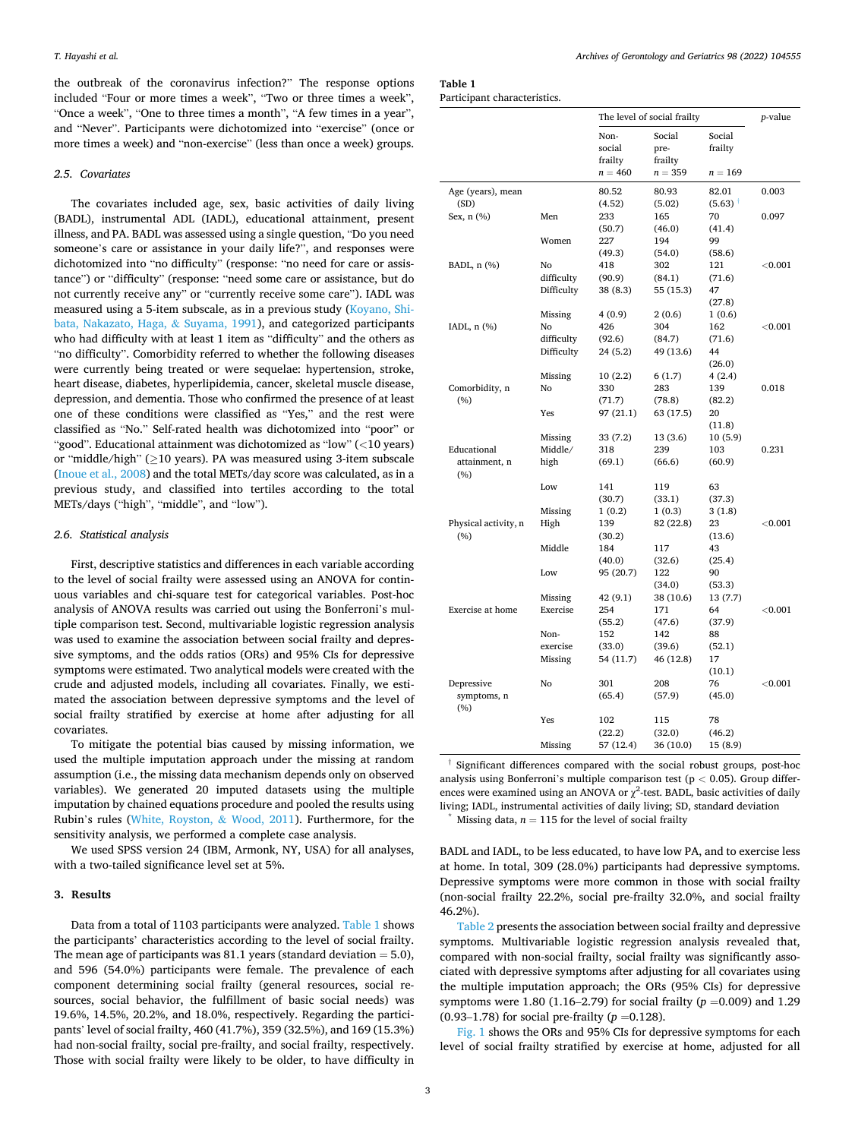the outbreak of the coronavirus infection?" The response options included "Four or more times a week", "Two or three times a week", "Once a week", "One to three times a month", "A few times in a year", and "Never". Participants were dichotomized into "exercise" (once or more times a week) and "non-exercise" (less than once a week) groups.

## *2.5. Covariates*

The covariates included age, sex, basic activities of daily living (BADL), instrumental ADL (IADL), educational attainment, present illness, and PA. BADL was assessed using a single question, "Do you need someone's care or assistance in your daily life?", and responses were dichotomized into "no difficulty" (response: "no need for care or assistance") or "difficulty" (response: "need some care or assistance, but do not currently receive any" or "currently receive some care"). IADL was measured using a 5-item subscale, as in a previous study ([Koyano, Shi](#page-4-0)[bata, Nakazato, Haga,](#page-4-0) & Suyama, 1991), and categorized participants who had difficulty with at least 1 item as "difficulty" and the others as "no difficulty". Comorbidity referred to whether the following diseases were currently being treated or were sequelae: hypertension, stroke, heart disease, diabetes, hyperlipidemia, cancer, skeletal muscle disease, depression, and dementia. Those who confirmed the presence of at least one of these conditions were classified as "Yes," and the rest were classified as "No." Self-rated health was dichotomized into "poor" or "good". Educational attainment was dichotomized as "low" (*<*10 years) or "middle/high" (≥10 years). PA was measured using 3-item subscale ([Inoue et al., 2008\)](#page-4-0) and the total METs/day score was calculated, as in a previous study, and classified into tertiles according to the total METs/days ("high", "middle", and "low").

# *2.6. Statistical analysis*

First, descriptive statistics and differences in each variable according to the level of social frailty were assessed using an ANOVA for continuous variables and chi-square test for categorical variables. Post-hoc analysis of ANOVA results was carried out using the Bonferroni's multiple comparison test. Second, multivariable logistic regression analysis was used to examine the association between social frailty and depressive symptoms, and the odds ratios (ORs) and 95% CIs for depressive symptoms were estimated. Two analytical models were created with the crude and adjusted models, including all covariates. Finally, we estimated the association between depressive symptoms and the level of social frailty stratified by exercise at home after adjusting for all covariates.

To mitigate the potential bias caused by missing information, we used the multiple imputation approach under the missing at random assumption (i.e., the missing data mechanism depends only on observed variables). We generated 20 imputed datasets using the multiple imputation by chained equations procedure and pooled the results using Rubin's rules [\(White, Royston,](#page-5-0) & Wood, 2011). Furthermore, for the sensitivity analysis, we performed a complete case analysis.

We used SPSS version 24 (IBM, Armonk, NY, USA) for all analyses, with a two-tailed significance level set at 5%.

## **3. Results**

Data from a total of 1103 participants were analyzed. Table 1 shows the participants' characteristics according to the level of social frailty. The mean age of participants was 81.1 years (standard deviation  $= 5.0$ ), and 596 (54.0%) participants were female. The prevalence of each component determining social frailty (general resources, social resources, social behavior, the fulfillment of basic social needs) was 19.6%, 14.5%, 20.2%, and 18.0%, respectively. Regarding the participants' level of social frailty, 460 (41.7%), 359 (32.5%), and 169 (15.3%) had non-social frailty, social pre-frailty, and social frailty, respectively. Those with social frailty were likely to be older, to have difficulty in

| Table 1                     |  |
|-----------------------------|--|
| Participant characteristics |  |

|                           |               | The level of social frailty | <i>p</i> -value           |                   |                |
|---------------------------|---------------|-----------------------------|---------------------------|-------------------|----------------|
|                           |               | Non-<br>social<br>frailty   | Social<br>pre-<br>frailty | Social<br>frailty |                |
|                           |               | $n = 460$                   | $n = 359$                 | $n = 169$         |                |
| Age (years), mean<br>(SD) |               | 80.52<br>(4.52)             | 80.93<br>(5.02)           | 82.01<br>(5.63)   | 0.003          |
| Sex, n (%)                | Men           | 233                         | 165                       | 70                | 0.097          |
|                           |               | (50.7)                      | (46.0)                    | (41.4)            |                |
|                           | Women         | 227                         | 194                       | 99                |                |
|                           |               | (49.3)                      | (54.0)                    | (58.6)            |                |
| BADL, n (%)               | No            | 418                         | 302                       | 121               | < 0.001        |
|                           | difficulty    | (90.9)                      | (84.1)                    | (71.6)            |                |
|                           | Difficulty    | 38 (8.3)                    | 55 (15.3)                 | 47                |                |
|                           |               |                             |                           | (27.8)            |                |
|                           | Missing<br>No | 4(0.9)<br>426               | 2(0.6)<br>304             | 1(0.6)<br>162     | < 0.001        |
| IADL, $n$ $(\%)$          | difficulty    | (92.6)                      | (84.7)                    | (71.6)            |                |
|                           | Difficulty    | 24 (5.2)                    | 49 (13.6)                 | 44                |                |
|                           |               |                             |                           | (26.0)            |                |
|                           | Missing       | 10(2.2)                     | 6(1.7)                    | 4 (2.4)           |                |
| Comorbidity, n            | No            | 330                         | 283                       | 139               | 0.018          |
| (%)                       |               | (71.7)                      | (78.8)                    | (82.2)            |                |
|                           | Yes           | 97 (21.1)                   | 63 (17.5)                 | 20                |                |
|                           |               |                             |                           | (11.8)            |                |
|                           | Missing       | 33 (7.2)                    | 13 (3.6)                  | 10(5.9)           |                |
| Educational               | Middle/       | 318                         | 239                       | 103               | 0.231          |
| attainment, n<br>(%)      | high          | (69.1)                      | (66.6)                    | (60.9)            |                |
|                           | Low           | 141                         | 119                       | 63                |                |
|                           |               | (30.7)                      | (33.1)                    | (37.3)            |                |
|                           | Missing       | 1(0.2)                      | 1(0.3)                    | 3(1.8)            |                |
| Physical activity, n      | High          | 139                         | 82 (22.8)                 | 23                | < 0.001        |
| (%)                       | Middle        | (30.2)<br>184               | 117                       | (13.6)<br>43      |                |
|                           |               | (40.0)                      | (32.6)                    | (25.4)            |                |
|                           | Low           | 95 (20.7)                   | 122                       | 90                |                |
|                           |               |                             | (34.0)                    | (53.3)            |                |
|                           | Missing       | 42 (9.1)                    | 38 (10.6)                 | 13 (7.7)          |                |
| Exercise at home          | Exercise      | 254                         | 171                       | 64                | < 0.001        |
|                           |               | (55.2)                      | (47.6)                    | (37.9)            |                |
|                           | Non-          | 152                         | 142                       | 88                |                |
|                           | exercise      | (33.0)                      | (39.6)                    | (52.1)            |                |
|                           | Missing       | 54 (11.7)                   | 46 (12.8)                 | 17                |                |
|                           |               |                             |                           | (10.1)            |                |
| Depressive                | No            | 301                         | 208                       | 76                | $<$ 0.001 $\,$ |
| symptoms, n<br>(%)        |               | (65.4)                      | (57.9)                    | (45.0)            |                |
|                           | Yes           | 102                         | 115                       | 78                |                |
|                           |               | (22.2)                      | (32.0)                    | (46.2)            |                |
|                           | Missing       | 57 (12.4)                   | 36 (10.0)                 | 15 (8.9)          |                |

† Significant differences compared with the social robust groups, post-hoc analysis using Bonferroni's multiple comparison test ( $p < 0.05$ ). Group differences were examined using an ANOVA or  $\chi^2$ -test. BADL, basic activities of daily living; IADL, instrumental activities of daily living; SD, standard deviation \* Missing data, *n* <sup>=</sup> 115 for the level of social frailty

BADL and IADL, to be less educated, to have low PA, and to exercise less at home. In total, 309 (28.0%) participants had depressive symptoms. Depressive symptoms were more common in those with social frailty (non-social frailty 22.2%, social pre-frailty 32.0%, and social frailty 46.2%).

[Table 2](#page-3-0) presents the association between social frailty and depressive symptoms. Multivariable logistic regression analysis revealed that, compared with non-social frailty, social frailty was significantly associated with depressive symptoms after adjusting for all covariates using the multiple imputation approach; the ORs (95% CIs) for depressive symptoms were 1.80 (1.16–2.79) for social frailty (*p* =0.009) and 1.29 (0.93–1.78) for social pre-frailty (*p* =0.128).

[Fig. 1](#page-3-0) shows the ORs and 95% CIs for depressive symptoms for each level of social frailty stratified by exercise at home, adjusted for all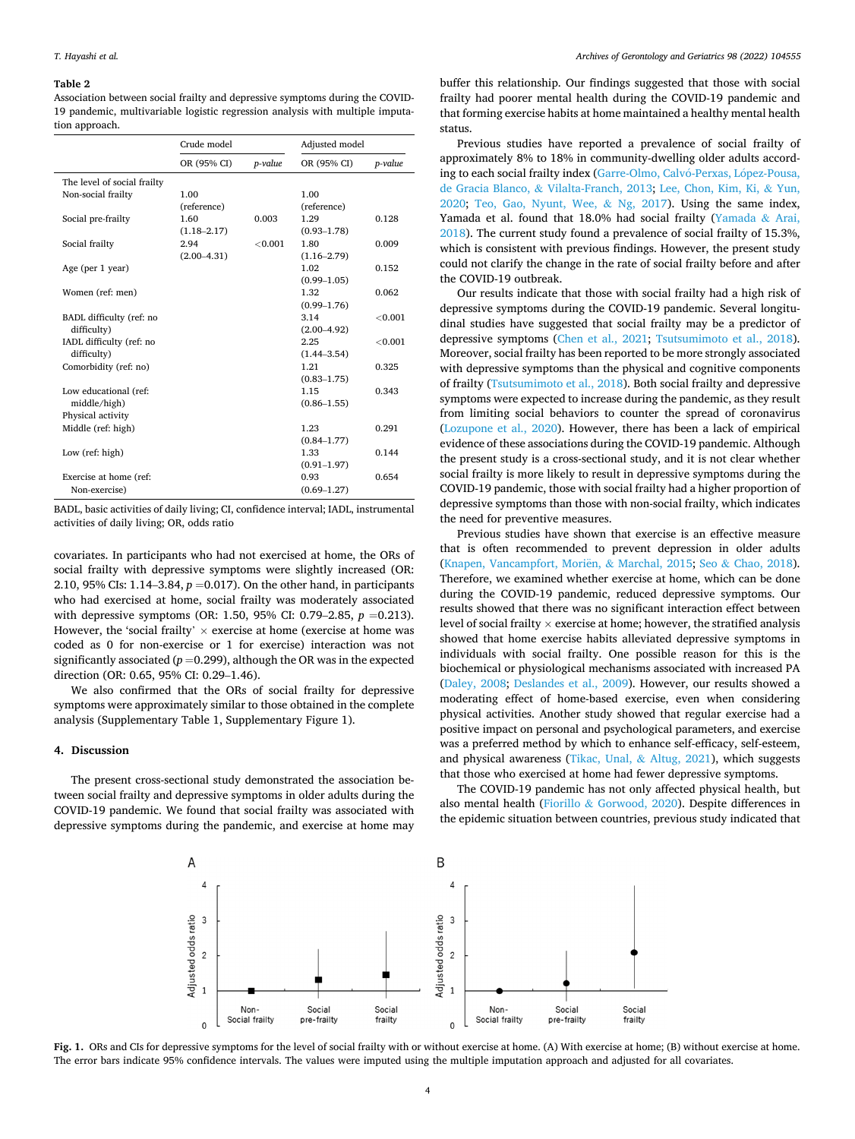#### <span id="page-3-0"></span>**Table 2**

Association between social frailty and depressive symptoms during the COVID-19 pandemic, multivariable logistic regression analysis with multiple imputation approach.

|                             | Crude model     |         | Adjusted model  |         |
|-----------------------------|-----------------|---------|-----------------|---------|
|                             | OR (95% CI)     | p-value | OR (95% CI)     | p-value |
| The level of social frailty |                 |         |                 |         |
| Non-social frailty          | 1.00            |         | 1.00            |         |
|                             | (reference)     |         | (reference)     |         |
| Social pre-frailty          | 1.60            | 0.003   | 1.29            | 0.128   |
|                             | $(1.18 - 2.17)$ |         | $(0.93 - 1.78)$ |         |
| Social frailty              | 2.94            | < 0.001 | 1.80            | 0.009   |
|                             | $(2.00-4.31)$   |         | $(1.16 - 2.79)$ |         |
| Age (per 1 year)            |                 |         | 1.02            | 0.152   |
|                             |                 |         | $(0.99 - 1.05)$ |         |
| Women (ref: men)            |                 |         | 1.32            | 0.062   |
|                             |                 |         | $(0.99 - 1.76)$ |         |
| BADL difficulty (ref: no    |                 |         | 3.14            | < 0.001 |
| difficulty)                 |                 |         | $(2.00 - 4.92)$ |         |
| IADL difficulty (ref: no    |                 |         | 2.25            | < 0.001 |
| difficulty)                 |                 |         | $(1.44 - 3.54)$ |         |
| Comorbidity (ref: no)       |                 |         | 1.21            | 0.325   |
|                             |                 |         | $(0.83 - 1.75)$ |         |
| Low educational (ref:       |                 |         | 1.15            | 0.343   |
| middle/high)                |                 |         | $(0.86 - 1.55)$ |         |
| Physical activity           |                 |         |                 |         |
| Middle (ref: high)          |                 |         | 1.23            | 0.291   |
|                             |                 |         | $(0.84 - 1.77)$ |         |
| Low (ref: high)             |                 |         | 1.33            | 0.144   |
|                             |                 |         | $(0.91 - 1.97)$ |         |
| Exercise at home (ref:      |                 |         | 0.93            | 0.654   |
| Non-exercise)               |                 |         | $(0.69 - 1.27)$ |         |

BADL, basic activities of daily living; CI, confidence interval; IADL, instrumental activities of daily living; OR, odds ratio

covariates. In participants who had not exercised at home, the ORs of social frailty with depressive symptoms were slightly increased (OR: 2.10, 95% CIs: 1.14–3.84, *p* =0.017). On the other hand, in participants who had exercised at home, social frailty was moderately associated with depressive symptoms (OR: 1.50, 95% CI: 0.79–2.85, *p* =0.213). However, the 'social frailty'  $\times$  exercise at home (exercise at home was coded as 0 for non-exercise or 1 for exercise) interaction was not significantly associated  $(p=0.299)$ , although the OR was in the expected direction (OR: 0.65, 95% CI: 0.29–1.46).

We also confirmed that the ORs of social frailty for depressive symptoms were approximately similar to those obtained in the complete analysis (Supplementary Table 1, Supplementary Figure 1).

# **4. Discussion**

The present cross-sectional study demonstrated the association between social frailty and depressive symptoms in older adults during the COVID-19 pandemic. We found that social frailty was associated with depressive symptoms during the pandemic, and exercise at home may

buffer this relationship. Our findings suggested that those with social frailty had poorer mental health during the COVID-19 pandemic and that forming exercise habits at home maintained a healthy mental health status.

Previous studies have reported a prevalence of social frailty of approximately 8% to 18% in community-dwelling older adults according to each social frailty index (Garre-Olmo, Calvó-Perxas, López-Pousa, de Gracia Blanco, & [Vilalta-Franch, 2013;](#page-4-0) [Lee, Chon, Kim, Ki,](#page-5-0) & Yun, [2020;](#page-5-0) [Teo, Gao, Nyunt, Wee,](#page-5-0) & Ng, 2017). Using the same index, Yamada et al. found that 18.0% had social frailty [\(Yamada](#page-5-0) & Arai, [2018\)](#page-5-0). The current study found a prevalence of social frailty of 15.3%, which is consistent with previous findings. However, the present study could not clarify the change in the rate of social frailty before and after the COVID-19 outbreak.

Our results indicate that those with social frailty had a high risk of depressive symptoms during the COVID-19 pandemic. Several longitudinal studies have suggested that social frailty may be a predictor of depressive symptoms [\(Chen et al., 2021;](#page-4-0) [Tsutsumimoto et al., 2018](#page-5-0)). Moreover, social frailty has been reported to be more strongly associated with depressive symptoms than the physical and cognitive components of frailty [\(Tsutsumimoto et al., 2018](#page-5-0)). Both social frailty and depressive symptoms were expected to increase during the pandemic, as they result from limiting social behaviors to counter the spread of coronavirus ([Lozupone et al., 2020](#page-5-0)). However, there has been a lack of empirical evidence of these associations during the COVID-19 pandemic. Although the present study is a cross-sectional study, and it is not clear whether social frailty is more likely to result in depressive symptoms during the COVID-19 pandemic, those with social frailty had a higher proportion of depressive symptoms than those with non-social frailty, which indicates the need for preventive measures.

Previous studies have shown that exercise is an effective measure that is often recommended to prevent depression in older adults ([Knapen, Vancampfort, Mori](#page-4-0)ën, & Marchal, 2015; Seo & [Chao, 2018](#page-5-0)). Therefore, we examined whether exercise at home, which can be done during the COVID-19 pandemic, reduced depressive symptoms. Our results showed that there was no significant interaction effect between level of social frailty  $\times$  exercise at home; however, the stratified analysis showed that home exercise habits alleviated depressive symptoms in individuals with social frailty. One possible reason for this is the biochemical or physiological mechanisms associated with increased PA ([Daley, 2008;](#page-4-0) [Deslandes et al., 2009\)](#page-4-0). However, our results showed a moderating effect of home-based exercise, even when considering physical activities. Another study showed that regular exercise had a positive impact on personal and psychological parameters, and exercise was a preferred method by which to enhance self-efficacy, self-esteem, and physical awareness [\(Tikac, Unal,](#page-5-0) & Altug, 2021), which suggests that those who exercised at home had fewer depressive symptoms.

The COVID-19 pandemic has not only affected physical health, but also mental health (Fiorillo & [Gorwood, 2020](#page-4-0)). Despite differences in the epidemic situation between countries, previous study indicated that



**Fig. 1.** ORs and CIs for depressive symptoms for the level of social frailty with or without exercise at home. (A) With exercise at home; (B) without exercise at home. The error bars indicate 95% confidence intervals. The values were imputed using the multiple imputation approach and adjusted for all covariates.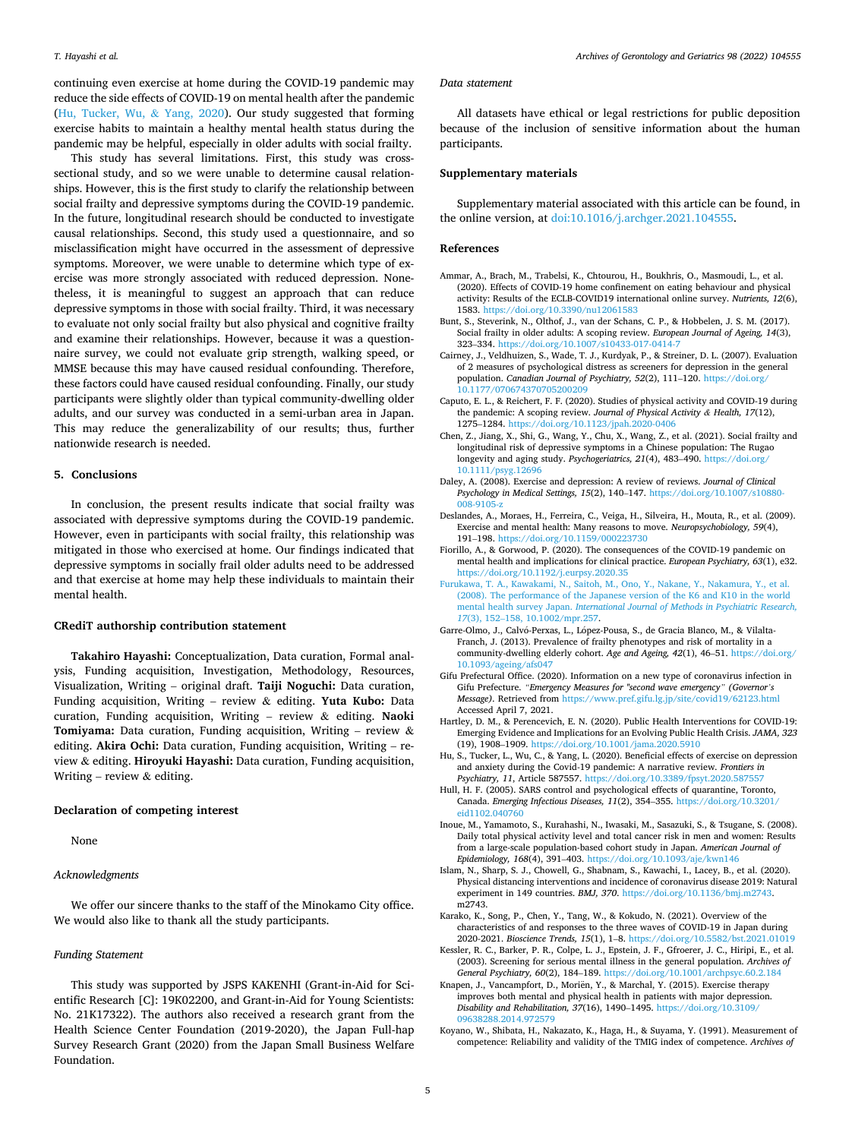<span id="page-4-0"></span>continuing even exercise at home during the COVID-19 pandemic may reduce the side effects of COVID-19 on mental health after the pandemic (Hu, Tucker, Wu, & Yang, 2020). Our study suggested that forming exercise habits to maintain a healthy mental health status during the pandemic may be helpful, especially in older adults with social frailty.

This study has several limitations. First, this study was crosssectional study, and so we were unable to determine causal relationships. However, this is the first study to clarify the relationship between social frailty and depressive symptoms during the COVID-19 pandemic. In the future, longitudinal research should be conducted to investigate causal relationships. Second, this study used a questionnaire, and so misclassification might have occurred in the assessment of depressive symptoms. Moreover, we were unable to determine which type of exercise was more strongly associated with reduced depression. Nonetheless, it is meaningful to suggest an approach that can reduce depressive symptoms in those with social frailty. Third, it was necessary to evaluate not only social frailty but also physical and cognitive frailty and examine their relationships. However, because it was a questionnaire survey, we could not evaluate grip strength, walking speed, or MMSE because this may have caused residual confounding. Therefore, these factors could have caused residual confounding. Finally, our study participants were slightly older than typical community-dwelling older adults, and our survey was conducted in a semi-urban area in Japan. This may reduce the generalizability of our results; thus, further nationwide research is needed.

# **5. Conclusions**

In conclusion, the present results indicate that social frailty was associated with depressive symptoms during the COVID-19 pandemic. However, even in participants with social frailty, this relationship was mitigated in those who exercised at home. Our findings indicated that depressive symptoms in socially frail older adults need to be addressed and that exercise at home may help these individuals to maintain their mental health.

#### **CRediT authorship contribution statement**

**Takahiro Hayashi:** Conceptualization, Data curation, Formal analysis, Funding acquisition, Investigation, Methodology, Resources, Visualization, Writing – original draft. **Taiji Noguchi:** Data curation, Funding acquisition, Writing – review & editing. **Yuta Kubo:** Data curation, Funding acquisition, Writing – review & editing. **Naoki Tomiyama:** Data curation, Funding acquisition, Writing – review & editing. **Akira Ochi:** Data curation, Funding acquisition, Writing – review & editing. **Hiroyuki Hayashi:** Data curation, Funding acquisition, Writing – review  $&$  editing.

### **Declaration of competing interest**

None

## *Acknowledgments*

We offer our sincere thanks to the staff of the Minokamo City office. We would also like to thank all the study participants.

## *Funding Statement*

This study was supported by JSPS KAKENHI (Grant-in-Aid for Scientific Research [C]: 19K02200, and Grant-in-Aid for Young Scientists: No. 21K17322). The authors also received a research grant from the Health Science Center Foundation (2019-2020), the Japan Full-hap Survey Research Grant (2020) from the Japan Small Business Welfare Foundation.

#### *Data statement*

All datasets have ethical or legal restrictions for public deposition because of the inclusion of sensitive information about the human participants.

## **Supplementary materials**

Supplementary material associated with this article can be found, in the online version, at [doi:10.1016/j.archger.2021.104555](https://doi.org/10.1016/j.archger.2021.104555).

#### **References**

- Ammar, A., Brach, M., Trabelsi, K., Chtourou, H., Boukhris, O., Masmoudi, L., et al. (2020). Effects of COVID-19 home confinement on eating behaviour and physical activity: Results of the ECLB-COVID19 international online survey. *Nutrients, 12*(6), 1583. <https://doi.org/10.3390/nu12061583>
- Bunt, S., Steverink, N., Olthof, J., van der Schans, C. P., & Hobbelen, J. S. M. (2017). Social frailty in older adults: A scoping review. *European Journal of Ageing, 14*(3), 323–334. <https://doi.org/10.1007/s10433-017-0414-7>
- Cairney, J., Veldhuizen, S., Wade, T. J., Kurdyak, P., & Streiner, D. L. (2007). Evaluation of 2 measures of psychological distress as screeners for depression in the general population. *Canadian Journal of Psychiatry, 52*(2), 111–120. [https://doi.org/](https://doi.org/10.1177/070674370705200209)  [10.1177/070674370705200209](https://doi.org/10.1177/070674370705200209)
- Caputo, E. L., & Reichert, F. F. (2020). Studies of physical activity and COVID-19 during the pandemic: A scoping review. *Journal of Physical Activity & Health, 17*(12), 1275–1284.<https://doi.org/10.1123/jpah.2020-0406>
- Chen, Z., Jiang, X., Shi, G., Wang, Y., Chu, X., Wang, Z., et al. (2021). Social frailty and longitudinal risk of depressive symptoms in a Chinese population: The Rugao longevity and aging study. *Psychogeriatrics, 21*(4), 483–490. [https://doi.org/](https://doi.org/10.1111/psyg.12696) [10.1111/psyg.12696](https://doi.org/10.1111/psyg.12696)
- Daley, A. (2008). Exercise and depression: A review of reviews. *Journal of Clinical Psychology in Medical Settings, 15*(2), 140–147. [https://doi.org/10.1007/s10880-](https://doi.org/10.1007/s10880-008-9105-z)  [008-9105-z](https://doi.org/10.1007/s10880-008-9105-z)
- Deslandes, A., Moraes, H., Ferreira, C., Veiga, H., Silveira, H., Mouta, R., et al. (2009). Exercise and mental health: Many reasons to move. *Neuropsychobiology, 59*(4), 191–198. <https://doi.org/10.1159/000223730>
- Fiorillo, A., & Gorwood, P. (2020). The consequences of the COVID-19 pandemic on mental health and implications for clinical practice. *European Psychiatry, 63*(1), e32. <https://doi.org/10.1192/j.eurpsy.2020.35>
- [Furukawa, T. A., Kawakami, N., Saitoh, M., Ono, Y., Nakane, Y., Nakamura, Y., et al.](http://refhub.elsevier.com/S0167-4943(21)00218-1/sbref0009) [\(2008\). The performance of the Japanese version of the K6 and K10 in the world](http://refhub.elsevier.com/S0167-4943(21)00218-1/sbref0009)  mental health survey Japan. *[International Journal of Methods in Psychiatric Research,](http://refhub.elsevier.com/S0167-4943(21)00218-1/sbref0009)  17*(3), 152–[158, 10.1002/mpr.257](http://refhub.elsevier.com/S0167-4943(21)00218-1/sbref0009).
- Garre-Olmo, J., Calvó-Perxas, L., López-Pousa, S., de Gracia Blanco, M., & Vilalta-Franch, J. (2013). Prevalence of frailty phenotypes and risk of mortality in a community-dwelling elderly cohort. *Age and Ageing, 42*(1), 46–51. [https://doi.org/](https://doi.org/10.1093/ageing/afs047)  [10.1093/ageing/afs047](https://doi.org/10.1093/ageing/afs047)
- Gifu Prefectural Office. (2020). Information on a new type of coronavirus infection in Gifu Prefecture. *"Emergency Measures for "second wave emergency" (Governor's Message)*. Retrieved from <https://www.pref.gifu.lg.jp/site/covid19/62123.html> Accessed April 7, 2021.
- Hartley, D. M., & Perencevich, E. N. (2020). Public Health Interventions for COVID-19: Emerging Evidence and Implications for an Evolving Public Health Crisis. *JAMA, 323*  (19), 1908–1909. <https://doi.org/10.1001/jama.2020.5910>
- Hu, S., Tucker, L., Wu, C., & Yang, L. (2020). Beneficial effects of exercise on depression and anxiety during the Covid-19 pandemic: A narrative review. *Frontiers in Psychiatry, 11*, Article 587557. <https://doi.org/10.3389/fpsyt.2020.587557>
- Hull, H. F. (2005). SARS control and psychological effects of quarantine, Toronto, Canada. *Emerging Infectious Diseases, 11*(2), 354–355. [https://doi.org/10.3201/](https://doi.org/10.3201/eid1102.040760) [eid1102.040760](https://doi.org/10.3201/eid1102.040760)
- Inoue, M., Yamamoto, S., Kurahashi, N., Iwasaki, M., Sasazuki, S., & Tsugane, S. (2008). Daily total physical activity level and total cancer risk in men and women: Results from a large-scale population-based cohort study in Japan. *American Journal of Epidemiology, 168*(4), 391–403.<https://doi.org/10.1093/aje/kwn146>
- Islam, N., Sharp, S. J., Chowell, G., Shabnam, S., Kawachi, I., Lacey, B., et al. (2020). Physical distancing interventions and incidence of coronavirus disease 2019: Natural experiment in 149 countries. *BMJ, 370*. [https://doi.org/10.1136/bmj.m2743.](https://doi.org/10.1136/bmj.m2743) m2743.
- Karako, K., Song, P., Chen, Y., Tang, W., & Kokudo, N. (2021). Overview of the characteristics of and responses to the three waves of COVID-19 in Japan during 2020-2021. *Bioscience Trends, 15*(1), 1–8. <https://doi.org/10.5582/bst.2021.01019>
- Kessler, R. C., Barker, P. R., Colpe, L. J., Epstein, J. F., Gfroerer, J. C., Hiripi, E., et al. (2003). Screening for serious mental illness in the general population. *Archives of General Psychiatry, 60*(2), 184–189. <https://doi.org/10.1001/archpsyc.60.2.184>
- Knapen, J., Vancampfort, D., Moriën, Y., & Marchal, Y. (2015). Exercise therapy improves both mental and physical health in patients with major depression. *Disability and Rehabilitation, 37*(16), 1490–1495. [https://doi.org/10.3109/](https://doi.org/10.3109/09638288.2014.972579)  [09638288.2014.972579](https://doi.org/10.3109/09638288.2014.972579)
- Koyano, W., Shibata, H., Nakazato, K., Haga, H., & Suyama, Y. (1991). Measurement of competence: Reliability and validity of the TMIG index of competence. *Archives of*